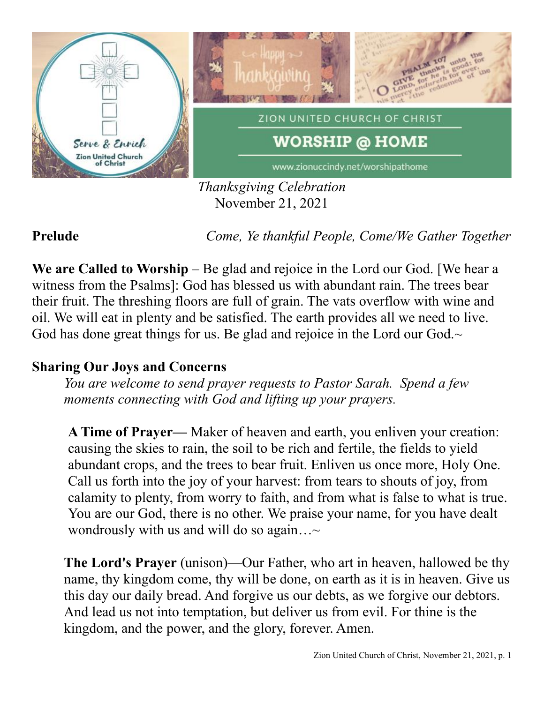

*Thanksgiving Celebration* November 21, 2021

**Prelude** *Come, Ye thankful People, Come/We Gather Together*

**We are Called to Worship** – Be glad and rejoice in the Lord our God. [We hear a witness from the Psalms]: God has blessed us with abundant rain. The trees bear their fruit. The threshing floors are full of grain. The vats overflow with wine and oil. We will eat in plenty and be satisfied. The earth provides all we need to live. God has done great things for us. Be glad and rejoice in the Lord our God. $\sim$ 

# **Sharing Our Joys and Concerns**

*You are welcome to send prayer requests to Pastor Sarah. Spend a few moments connecting with God and lifting up your prayers.*

**A Time of Prayer—** Maker of heaven and earth, you enliven your creation: causing the skies to rain, the soil to be rich and fertile, the fields to yield abundant crops, and the trees to bear fruit. Enliven us once more, Holy One. Call us forth into the joy of your harvest: from tears to shouts of joy, from calamity to plenty, from worry to faith, and from what is false to what is true. You are our God, there is no other. We praise your name, for you have dealt wondrously with us and will do so again... $\sim$ 

**The Lord's Prayer** (unison)—Our Father, who art in heaven, hallowed be thy name, thy kingdom come, thy will be done, on earth as it is in heaven. Give us this day our daily bread. And forgive us our debts, as we forgive our debtors. And lead us not into temptation, but deliver us from evil. For thine is the kingdom, and the power, and the glory, forever. Amen.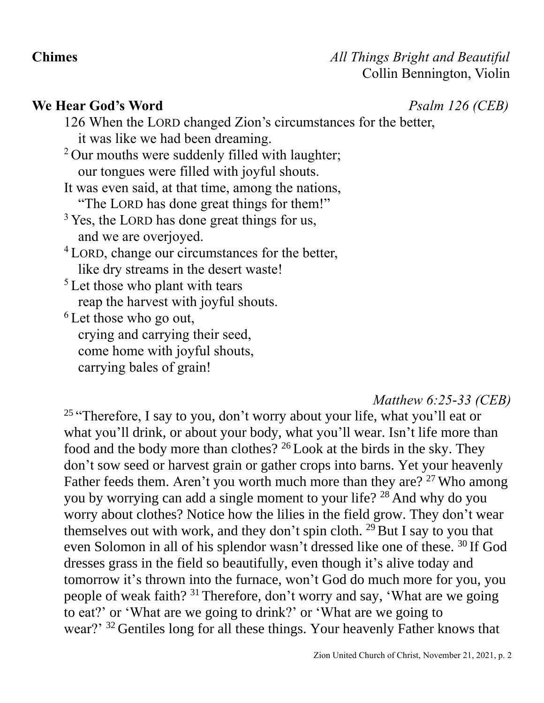### **We Hear God's Word** *Psalm 126 (CEB)*

126 When the LORD changed Zion's circumstances for the better, it was like we had been dreaming. <sup>2</sup> Our mouths were suddenly filled with laughter; our tongues were filled with joyful shouts. It was even said, at that time, among the nations, "The LORD has done great things for them!"  $3$  Yes, the LORD has done great things for us, and we are overjoyed. <sup>4</sup> LORD, change our circumstances for the better, like dry streams in the desert waste!  $<sup>5</sup>$  Let those who plant with tears</sup> reap the harvest with joyful shouts.  $6$  Let those who go out, crying and carrying their seed, come home with joyful shouts, carrying bales of grain!

### *Matthew 6:25-33 (CEB)*

<sup>25</sup> "Therefore, I say to you, don't worry about your life, what you'll eat or what you'll drink, or about your body, what you'll wear. Isn't life more than food and the body more than clothes? <sup>26</sup> Look at the birds in the sky. They don't sow seed or harvest grain or gather crops into barns. Yet your heavenly Father feeds them. Aren't you worth much more than they are? <sup>27</sup> Who among you by worrying can add a single moment to your life? <sup>28</sup> And why do you worry about clothes? Notice how the lilies in the field grow. They don't wear themselves out with work, and they don't spin cloth.  $^{29}$  But I say to you that even Solomon in all of his splendor wasn't dressed like one of these. <sup>30</sup> If God dresses grass in the field so beautifully, even though it's alive today and tomorrow it's thrown into the furnace, won't God do much more for you, you people of weak faith? <sup>31</sup> Therefore, don't worry and say, 'What are we going to eat?' or 'What are we going to drink?' or 'What are we going to wear?' <sup>32</sup> Gentiles long for all these things. Your heavenly Father knows that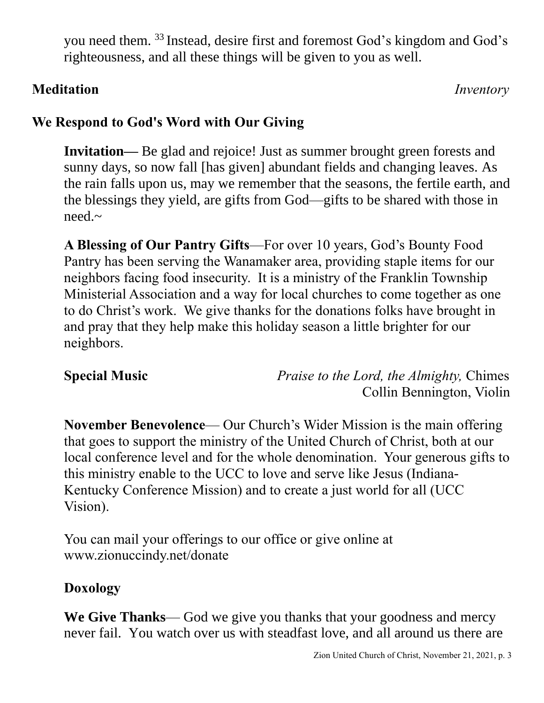you need them. <sup>33</sup> Instead, desire first and foremost God's kingdom and God's righteousness, and all these things will be given to you as well.

# **Meditation** *Inventory*

# **We Respond to God's Word with Our Giving**

**Invitation—** Be glad and rejoice! Just as summer brought green forests and sunny days, so now fall [has given] abundant fields and changing leaves. As the rain falls upon us, may we remember that the seasons, the fertile earth, and the blessings they yield, are gifts from God—gifts to be shared with those in need.~

**A Blessing of Our Pantry Gifts**—For over 10 years, God's Bounty Food Pantry has been serving the Wanamaker area, providing staple items for our neighbors facing food insecurity. It is a ministry of the Franklin Township Ministerial Association and a way for local churches to come together as one to do Christ's work. We give thanks for the donations folks have brought in and pray that they help make this holiday season a little brighter for our neighbors.

**Special Music** *Praise to the Lord, the Almighty,* Chimes Collin Bennington, Violin

**November Benevolence**— Our Church's Wider Mission is the main offering that goes to support the ministry of the United Church of Christ, both at our local conference level and for the whole denomination. Your generous gifts to this ministry enable to the UCC to love and serve like Jesus (Indiana-Kentucky Conference Mission) and to create a just world for all (UCC Vision).

You can mail your offerings to our office or give online at www.zionuccindy.net/donate

# **Doxology**

**We Give Thanks**— God we give you thanks that your goodness and mercy never fail. You watch over us with steadfast love, and all around us there are